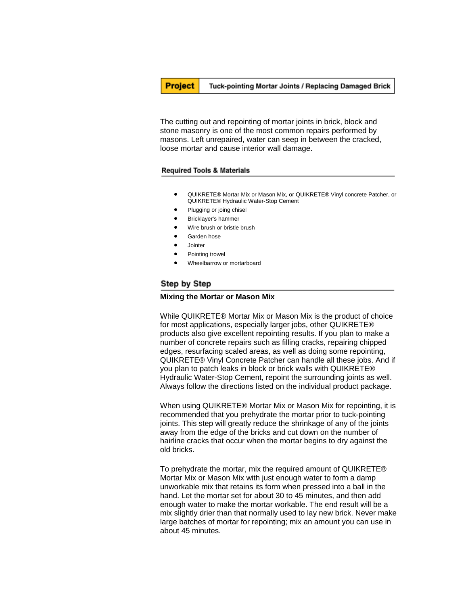**Project** 

#### Tuck-pointing Mortar Joints / Replacing Damaged Brick

The cutting out and repointing of mortar joints in brick, block and stone masonry is one of the most common repairs performed by masons. Left unrepaired, water can seep in between the cracked, loose mortar and cause interior wall damage.

### Required Tools & Materials

- QUIKRETE® Mortar Mix or Mason Mix, or QUIKRETE® Vinyl concrete Patcher, or QUIKRETE® Hydraulic Water-Stop Cement
- Plugging or joing chisel
- Bricklayer's hammer
- Wire brush or bristle brush
- Garden hose
- Jointer
- Pointing trowel
- Wheelbarrow or mortarboard

## Step by Step

#### **Mixing the Mortar or Mason Mix**

While QUIKRETE® Mortar Mix or Mason Mix is the product of choice for most applications, especially larger jobs, other QUIKRETE® products also give excellent repointing results. If you plan to make a number of concrete repairs such as filling cracks, repairing chipped edges, resurfacing scaled areas, as well as doing some repointing, QUIKRETE® Vinyl Concrete Patcher can handle all these jobs. And if you plan to patch leaks in block or brick walls with QUIKRETE® Hydraulic Water-Stop Cement, repoint the surrounding joints as well. Always follow the directions listed on the individual product package.

When using QUIKRETE® Mortar Mix or Mason Mix for repointing, it is recommended that you prehydrate the mortar prior to tuck-pointing joints. This step will greatly reduce the shrinkage of any of the joints away from the edge of the bricks and cut down on the number of hairline cracks that occur when the mortar begins to dry against the old bricks.

To prehydrate the mortar, mix the required amount of QUIKRETE® Mortar Mix or Mason Mix with just enough water to form a damp unworkable mix that retains its form when pressed into a ball in the hand. Let the mortar set for about 30 to 45 minutes, and then add enough water to make the mortar workable. The end result will be a mix slightly drier than that normally used to lay new brick. Never make large batches of mortar for repointing; mix an amount you can use in about 45 minutes.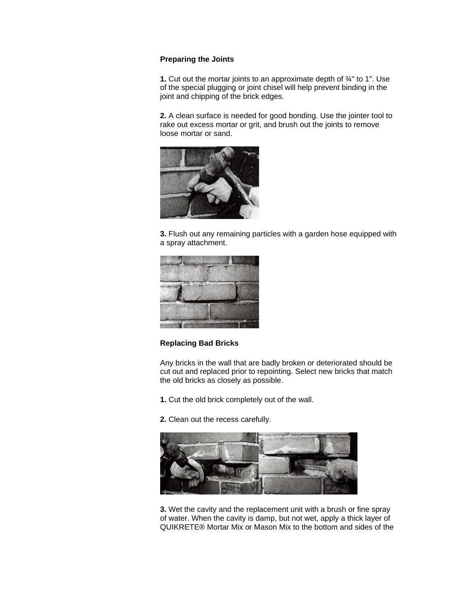# **Preparing the Joints**

**1.** Cut out the mortar joints to an approximate depth of ¾" to 1". Use of the special plugging or joint chisel will help prevent binding in the joint and chipping of the brick edges.

**2.** A clean surface is needed for good bonding. Use the jointer tool to rake out excess mortar or grit, and brush out the joints to remove loose mortar or sand.



**3.** Flush out any remaining particles with a garden hose equipped with a spray attachment.



## **Replacing Bad Bricks**

Any bricks in the wall that are badly broken or deteriorated should be cut out and replaced prior to repointing. Select new bricks that match the old bricks as closely as possible.

- **1.** Cut the old brick completely out of the wall.
- **2.** Clean out the recess carefully.



**3.** Wet the cavity and the replacement unit with a brush or fine spray of water. When the cavity is damp, but not wet, apply a thick layer of QUIKRETE® Mortar Mix or Mason Mix to the bottom and sides of the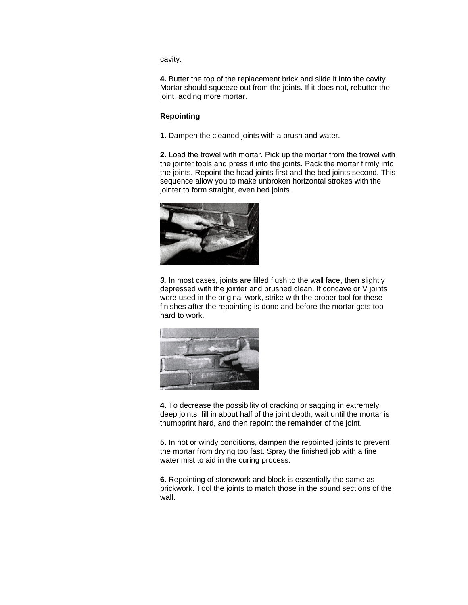cavity.

**4.** Butter the top of the replacement brick and slide it into the cavity. Mortar should squeeze out from the joints. If it does not, rebutter the joint, adding more mortar.

# **Repointing**

**1.** Dampen the cleaned joints with a brush and water.

**2.** Load the trowel with mortar. Pick up the mortar from the trowel with the jointer tools and press it into the joints. Pack the mortar firmly into the joints. Repoint the head joints first and the bed joints second. This sequence allow you to make unbroken horizontal strokes with the jointer to form straight, even bed joints.



*3.* In most cases, joints are filled flush to the wall face, then slightly depressed with the jointer and brushed clean. If concave or V joints were used in the original work, strike with the proper tool for these finishes after the repointing is done and before the mortar gets too hard to work.



**4.** To decrease the possibility of cracking or sagging in extremely deep joints, fill in about half of the joint depth, wait until the mortar is thumbprint hard, and then repoint the remainder of the joint.

**5**. In hot or windy conditions, dampen the repointed joints to prevent the mortar from drying too fast. Spray the finished job with a fine water mist to aid in the curing process.

**6.** Repointing of stonework and block is essentially the same as brickwork. Tool the joints to match those in the sound sections of the wall.